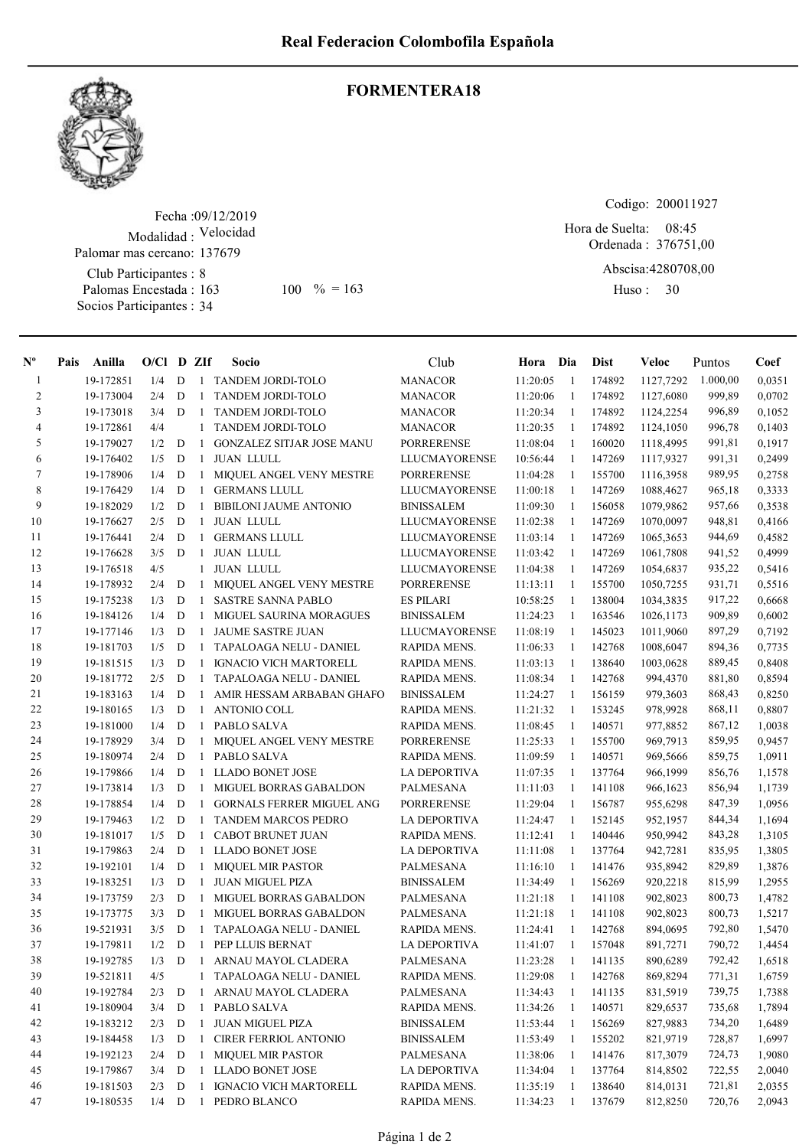

## FORMENTERA18

Fecha : 09/12/2019 Modalidad : Velocidad Club Participantes : 8 Palomas Encestada : Socios Participantes : 34 Palomar mas cercano: 137679 163 100 % = 163 Huso: 30

Codigo: 200011927

Ordenada : 376751,00 Abscisa: 4280708,00 Hora de Suelta: 08:45

Huso: 30

| $N^{\circ}$    | <b>Pais</b> | Anilla    | $O/Cl$ D ZIf |           |              | Socio                            | Club                 | Hora Dia |         | Dist   | Veloc     | Puntos   | Coef   |
|----------------|-------------|-----------|--------------|-----------|--------------|----------------------------------|----------------------|----------|---------|--------|-----------|----------|--------|
| -1             |             | 19-172851 | 1/4          | D         |              | 1 TANDEM JORDI-TOLO              | <b>MANACOR</b>       | 11:20:05 | -1      | 174892 | 1127,7292 | 1.000,00 | 0,0351 |
| $\overline{2}$ |             | 19-173004 | 2/4          | D         | $\mathbf{1}$ | TANDEM JORDI-TOLO                | <b>MANACOR</b>       | 11:20:06 | -1      | 174892 | 1127,6080 | 999,89   | 0,0702 |
| 3              |             | 19-173018 | 3/4          | D         | $\mathbf{1}$ | TANDEM JORDI-TOLO                | <b>MANACOR</b>       | 11:20:34 | -1      | 174892 | 1124,2254 | 996,89   | 0,1052 |
| 4              |             | 19-172861 | 4/4          |           | $\mathbf{1}$ | TANDEM JORDI-TOLO                | <b>MANACOR</b>       | 11:20:35 | -1      | 174892 | 1124,1050 | 996,78   | 0,1403 |
| 5              |             | 19-179027 | 1/2          | D         | $\mathbf{1}$ | <b>GONZALEZ SITJAR JOSE MANU</b> | <b>PORRERENSE</b>    | 11:08:04 | -1      | 160020 | 1118,4995 | 991,81   | 0,1917 |
| 6              |             | 19-176402 | 1/5          | D         | $\mathbf{1}$ | <b>JUAN LLULL</b>                | LLUCMAYORENSE        | 10:56:44 | -1      | 147269 | 1117,9327 | 991,31   | 0,2499 |
| 7              |             | 19-178906 | 1/4          | D         |              | 1 MIQUEL ANGEL VENY MESTRE       | <b>PORRERENSE</b>    | 11:04:28 | -1      | 155700 | 1116,3958 | 989,95   | 0,2758 |
| 8              |             | 19-176429 | 1/4          | D         | 1            | <b>GERMANS LLULL</b>             | <b>LLUCMAYORENSE</b> | 11:00:18 | -1      | 147269 | 1088,4627 | 965,18   | 0,3333 |
| 9              |             | 19-182029 | 1/2          | D         | $\mathbf{1}$ | <b>BIBILONI JAUME ANTONIO</b>    | <b>BINISSALEM</b>    | 11:09:30 | 1       | 156058 | 1079,9862 | 957,66   | 0,3538 |
| 10             |             | 19-176627 | 2/5          | D         |              | 1 JUAN LLULL                     | <b>LLUCMAYORENSE</b> | 11:02:38 | -1      | 147269 | 1070,0097 | 948,81   | 0,4166 |
| 11             |             | 19-176441 | 2/4          | D         |              | 1 GERMANS LLULL                  | <b>LLUCMAYORENSE</b> | 11:03:14 | -1      | 147269 | 1065,3653 | 944,69   | 0,4582 |
| 12             |             | 19-176628 | 3/5          | D         |              | 1 JUAN LLULL                     | <b>LLUCMAYORENSE</b> | 11:03:42 | 1       | 147269 | 1061,7808 | 941,52   | 0,4999 |
| 13             |             | 19-176518 | 4/5          |           |              | 1 JUAN LLULL                     | LLUCMAYORENSE        | 11:04:38 | 1       | 147269 | 1054,6837 | 935,22   | 0,5416 |
| 14             |             | 19-178932 | 2/4          | D         |              | 1 MIQUEL ANGEL VENY MESTRE       | <b>PORRERENSE</b>    | 11:13:11 | -1      | 155700 | 1050,7255 | 931,71   | 0,5516 |
| 15             |             | 19-175238 | 1/3          | D         | $\mathbf{1}$ | <b>SASTRE SANNA PABLO</b>        | <b>ES PILARI</b>     | 10:58:25 | -1      | 138004 | 1034,3835 | 917,22   | 0,6668 |
| 16             |             | 19-184126 | 1/4          | D         |              | 1 MIGUEL SAURINA MORAGUES        | <b>BINISSALEM</b>    | 11:24:23 | -1      | 163546 | 1026,1173 | 909,89   | 0,6002 |
| 17             |             | 19-177146 | 1/3          | D         | $\mathbf{1}$ | JAUME SASTRE JUAN                | LLUCMAYORENSE        | 11:08:19 | -1      | 145023 | 1011,9060 | 897,29   | 0,7192 |
| 18             |             | 19-181703 | 1/5          | D         | $\mathbf{1}$ | TAPALOAGA NELU - DANIEL          | RAPIDA MENS.         | 11:06:33 | -1      | 142768 | 1008,6047 | 894,36   | 0,7735 |
| 19             |             | 19-181515 | 1/3          | D         | $\mathbf{1}$ | <b>IGNACIO VICH MARTORELL</b>    | RAPIDA MENS.         | 11:03:13 | -1      | 138640 | 1003,0628 | 889,45   | 0,8408 |
| 20             |             | 19-181772 | 2/5          | D         | $\mathbf{1}$ | TAPALOAGA NELU - DANIEL          | RAPIDA MENS.         | 11:08:34 | -1      | 142768 | 994,4370  | 881,80   | 0,8594 |
| 21             |             | 19-183163 | 1/4          | D         |              | 1 AMIR HESSAM ARBABAN GHAFO      | <b>BINISSALEM</b>    | 11:24:27 | -1      | 156159 | 979,3603  | 868,43   | 0,8250 |
| $22\,$         |             | 19-180165 | 1/3          | D         |              | 1 ANTONIO COLL                   | RAPIDA MENS.         | 11:21:32 | -1      | 153245 | 978,9928  | 868,11   | 0,8807 |
| 23             |             | 19-181000 | 1/4          | D         |              | 1 PABLO SALVA                    | RAPIDA MENS.         | 11:08:45 | -1      | 140571 | 977,8852  | 867,12   | 1,0038 |
| 24             |             | 19-178929 | 3/4          | D         |              | 1 MIQUEL ANGEL VENY MESTRE       | <b>PORRERENSE</b>    | 11:25:33 | 1       | 155700 | 969,7913  | 859,95   | 0,9457 |
| 25             |             | 19-180974 | 2/4          | D         | $\mathbf{1}$ | PABLO SALVA                      | RAPIDA MENS.         | 11:09:59 | 1       | 140571 | 969,5666  | 859,75   | 1,0911 |
| 26             |             | 19-179866 | 1/4          | D         |              | 1 LLADO BONET JOSE               | LA DEPORTIVA         | 11:07:35 | -1      | 137764 | 966,1999  | 856,76   | 1,1578 |
| 27             |             | 19-173814 | 1/3          | D         | $\mathbf{1}$ | MIGUEL BORRAS GABALDON           | PALMESANA            | 11:11:03 | -1      | 141108 | 966,1623  | 856,94   | 1,1739 |
| 28             |             | 19-178854 | 1/4          | D         | $\mathbf{1}$ | <b>GORNALS FERRER MIGUEL ANG</b> | <b>PORRERENSE</b>    | 11:29:04 | -1      | 156787 | 955,6298  | 847,39   | 1,0956 |
| 29             |             | 19-179463 | 1/2          | D         | $\mathbf{1}$ | <b>TANDEM MARCOS PEDRO</b>       | LA DEPORTIVA         | 11:24:47 | -1      | 152145 | 952,1957  | 844,34   | 1,1694 |
| 30             |             | 19-181017 | 1/5          | D         | $\mathbf{1}$ | <b>CABOT BRUNET JUAN</b>         | RAPIDA MENS.         | 11:12:41 | -1      | 140446 | 950,9942  | 843,28   | 1,3105 |
| 31             |             | 19-179863 | 2/4          | D         |              | 1 LLADO BONET JOSE               | LA DEPORTIVA         | 11:11:08 | -1      | 137764 | 942,7281  | 835,95   | 1,3805 |
| 32             |             | 19-192101 | 1/4          | D         |              | 1 MIQUEL MIR PASTOR              | PALMESANA            | 11:16:10 | -1      | 141476 | 935,8942  | 829,89   | 1,3876 |
| 33             |             | 19-183251 | 1/3          | D         |              | 1 JUAN MIGUEL PIZA               | <b>BINISSALEM</b>    | 11:34:49 | -1      | 156269 | 920,2218  | 815,99   | 1,2955 |
| 34             |             | 19-173759 | 2/3          | D         |              | 1 MIGUEL BORRAS GABALDON         | PALMESANA            | 11:21:18 | -1      | 141108 | 902,8023  | 800,73   | 1,4782 |
| 35             |             | 19-173775 | 3/3          | D         |              | 1 MIGUEL BORRAS GABALDON         | PALMESANA            | 11:21:18 | -1      | 141108 | 902,8023  | 800,73   | 1,5217 |
| 36             |             | 19-521931 | 3/5          | D         | $\mathbf{1}$ | TAPALOAGA NELU - DANIEL          | RAPIDA MENS.         | 11:24:41 | -1      | 142768 | 894,0695  | 792,80   | 1,5470 |
| 37             |             | 19-179811 | 1/2          | D         |              | 1 PEP LLUIS BERNAT               | LA DEPORTIVA         | 11:41:07 | -1      | 157048 | 891,7271  | 790,72   | 1,4454 |
| $3\,8$         |             | 19-192785 | 1/3          | ${\bf D}$ |              | 1 ARNAU MAYOL CLADERA            | PALMESANA            | 11:23:28 | $\,1\,$ | 141135 | 890,6289  | 792,42   | 1,6518 |
| 39             |             | 19-521811 | 4/5          |           |              | 1 TAPALOAGA NELU - DANIEL        | RAPIDA MENS.         | 11:29:08 | 1       | 142768 | 869,8294  | 771,31   | 1,6759 |
| 40             |             | 19-192784 | 2/3          | D         |              | 1 ARNAU MAYOL CLADERA            | PALMESANA            | 11:34:43 | -1      | 141135 | 831,5919  | 739,75   | 1,7388 |
| 41             |             | 19-180904 | 3/4          | D         |              | 1 PABLO SALVA                    | RAPIDA MENS.         | 11:34:26 | -1      | 140571 | 829,6537  | 735,68   | 1,7894 |
| 42             |             | 19-183212 | 2/3          | D         |              | 1 JUAN MIGUEL PIZA               | <b>BINISSALEM</b>    | 11:53:44 | -1      | 156269 | 827,9883  | 734,20   | 1,6489 |
| 43             |             | 19-184458 | 1/3          | D         | $\mathbf{1}$ | <b>CIRER FERRIOL ANTONIO</b>     | <b>BINISSALEM</b>    | 11:53:49 | -1      | 155202 | 821,9719  | 728,87   | 1,6997 |
| 44             |             | 19-192123 | 2/4          | D         |              | 1 MIQUEL MIR PASTOR              | PALMESANA            | 11:38:06 | -1      | 141476 | 817,3079  | 724,73   | 1,9080 |
| 45             |             | 19-179867 | 3/4          | D         |              | 1 LLADO BONET JOSE               | <b>LA DEPORTIVA</b>  | 11:34:04 | -1      | 137764 | 814,8502  | 722,55   | 2,0040 |
| 46             |             | 19-181503 | 2/3          | D         |              | 1 IGNACIO VICH MARTORELL         | RAPIDA MENS.         | 11:35:19 | -1      | 138640 | 814,0131  | 721,81   | 2,0355 |
| 47             |             | 19-180535 | $1/4$ D      |           |              | 1 PEDRO BLANCO                   | RAPIDA MENS.         | 11:34:23 | 1       | 137679 | 812,8250  | 720,76   | 2,0943 |
|                |             |           |              |           |              |                                  |                      |          |         |        |           |          |        |